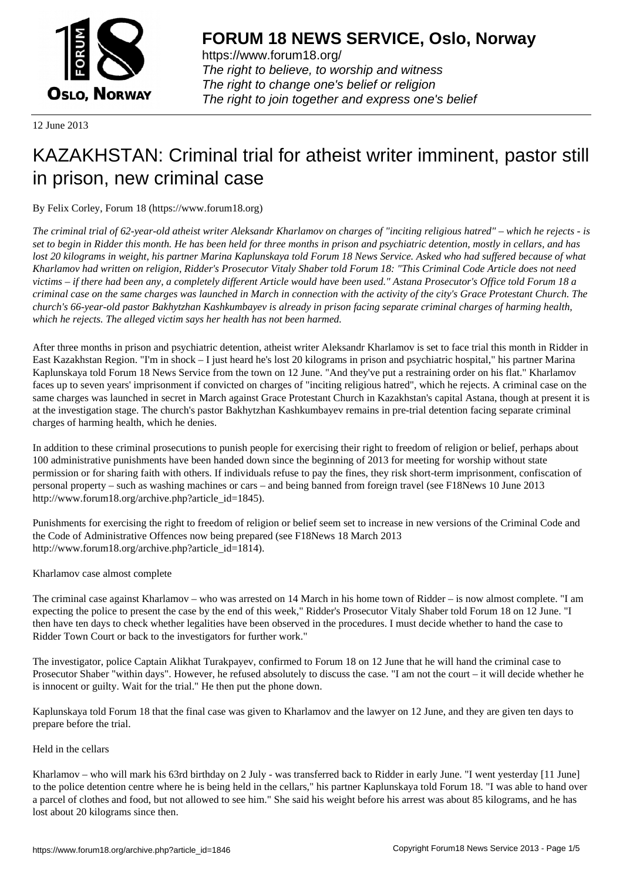

https://www.forum18.org/ The right to believe, to worship and witness The right to change one's belief or religion [The right to join together a](https://www.forum18.org/)nd express one's belief

12 June 2013

# [KAZAKHSTAN:](https://www.forum18.org) Criminal trial for atheist writer imminent, pastor still in prison, new criminal case

## By Felix Corley, Forum 18 (https://www.forum18.org)

*The criminal trial of 62-year-old atheist writer Aleksandr Kharlamov on charges of "inciting religious hatred" – which he rejects - is set to begin in Ridder this month. He has been held for three months in prison and psychiatric detention, mostly in cellars, and has lost 20 kilograms in weight, his partner Marina Kaplunskaya told Forum 18 News Service. Asked who had suffered because of what Kharlamov had written on religion, Ridder's Prosecutor Vitaly Shaber told Forum 18: "This Criminal Code Article does not need victims – if there had been any, a completely different Article would have been used." Astana Prosecutor's Office told Forum 18 a criminal case on the same charges was launched in March in connection with the activity of the city's Grace Protestant Church. The church's 66-year-old pastor Bakhytzhan Kashkumbayev is already in prison facing separate criminal charges of harming health, which he rejects. The alleged victim says her health has not been harmed.*

After three months in prison and psychiatric detention, atheist writer Aleksandr Kharlamov is set to face trial this month in Ridder in East Kazakhstan Region. "I'm in shock – I just heard he's lost 20 kilograms in prison and psychiatric hospital," his partner Marina Kaplunskaya told Forum 18 News Service from the town on 12 June. "And they've put a restraining order on his flat." Kharlamov faces up to seven years' imprisonment if convicted on charges of "inciting religious hatred", which he rejects. A criminal case on the same charges was launched in secret in March against Grace Protestant Church in Kazakhstan's capital Astana, though at present it is at the investigation stage. The church's pastor Bakhytzhan Kashkumbayev remains in pre-trial detention facing separate criminal charges of harming health, which he denies.

In addition to these criminal prosecutions to punish people for exercising their right to freedom of religion or belief, perhaps about 100 administrative punishments have been handed down since the beginning of 2013 for meeting for worship without state permission or for sharing faith with others. If individuals refuse to pay the fines, they risk short-term imprisonment, confiscation of personal property – such as washing machines or cars – and being banned from foreign travel (see F18News 10 June 2013 http://www.forum18.org/archive.php?article\_id=1845).

Punishments for exercising the right to freedom of religion or belief seem set to increase in new versions of the Criminal Code and the Code of Administrative Offences now being prepared (see F18News 18 March 2013 http://www.forum18.org/archive.php?article\_id=1814).

## Kharlamov case almost complete

The criminal case against Kharlamov – who was arrested on 14 March in his home town of Ridder – is now almost complete. "I am expecting the police to present the case by the end of this week," Ridder's Prosecutor Vitaly Shaber told Forum 18 on 12 June. "I then have ten days to check whether legalities have been observed in the procedures. I must decide whether to hand the case to Ridder Town Court or back to the investigators for further work."

The investigator, police Captain Alikhat Turakpayev, confirmed to Forum 18 on 12 June that he will hand the criminal case to Prosecutor Shaber "within days". However, he refused absolutely to discuss the case. "I am not the court – it will decide whether he is innocent or guilty. Wait for the trial." He then put the phone down.

Kaplunskaya told Forum 18 that the final case was given to Kharlamov and the lawyer on 12 June, and they are given ten days to prepare before the trial.

#### Held in the cellars

Kharlamov – who will mark his 63rd birthday on 2 July - was transferred back to Ridder in early June. "I went yesterday [11 June] to the police detention centre where he is being held in the cellars," his partner Kaplunskaya told Forum 18. "I was able to hand over a parcel of clothes and food, but not allowed to see him." She said his weight before his arrest was about 85 kilograms, and he has lost about 20 kilograms since then.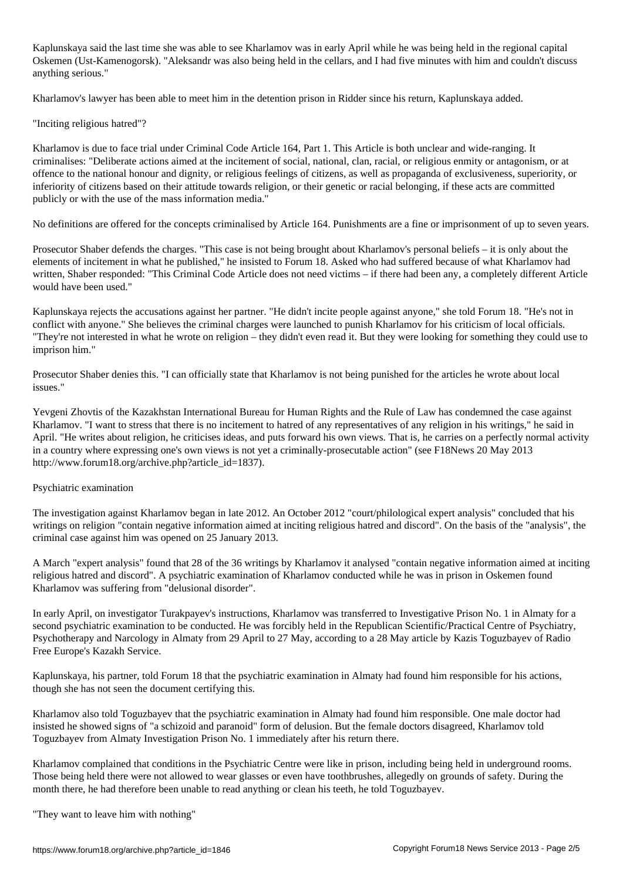Kaplunskaya said the last time she was able to see Kharlamov was in early April while he was being held in the regional capital Oskemen (Ust-Kamenogorsk). "Aleksandr was also being held in the cellars, and I had five minutes with him and couldn't discuss anything serious."

Kharlamov's lawyer has been able to meet him in the detention prison in Ridder since his return, Kaplunskaya added.

"Inciting religious hatred"?

Kharlamov is due to face trial under Criminal Code Article 164, Part 1. This Article is both unclear and wide-ranging. It criminalises: "Deliberate actions aimed at the incitement of social, national, clan, racial, or religious enmity or antagonism, or at offence to the national honour and dignity, or religious feelings of citizens, as well as propaganda of exclusiveness, superiority, or inferiority of citizens based on their attitude towards religion, or their genetic or racial belonging, if these acts are committed publicly or with the use of the mass information media."

No definitions are offered for the concepts criminalised by Article 164. Punishments are a fine or imprisonment of up to seven years.

Prosecutor Shaber defends the charges. "This case is not being brought about Kharlamov's personal beliefs – it is only about the elements of incitement in what he published," he insisted to Forum 18. Asked who had suffered because of what Kharlamov had written, Shaber responded: "This Criminal Code Article does not need victims – if there had been any, a completely different Article would have been used."

Kaplunskaya rejects the accusations against her partner. "He didn't incite people against anyone," she told Forum 18. "He's not in conflict with anyone." She believes the criminal charges were launched to punish Kharlamov for his criticism of local officials. "They're not interested in what he wrote on religion – they didn't even read it. But they were looking for something they could use to imprison him."

Prosecutor Shaber denies this. "I can officially state that Kharlamov is not being punished for the articles he wrote about local issues."

Yevgeni Zhovtis of the Kazakhstan International Bureau for Human Rights and the Rule of Law has condemned the case against Kharlamov. "I want to stress that there is no incitement to hatred of any representatives of any religion in his writings," he said in April. "He writes about religion, he criticises ideas, and puts forward his own views. That is, he carries on a perfectly normal activity in a country where expressing one's own views is not yet a criminally-prosecutable action" (see F18News 20 May 2013 http://www.forum18.org/archive.php?article\_id=1837).

## Psychiatric examination

The investigation against Kharlamov began in late 2012. An October 2012 "court/philological expert analysis" concluded that his writings on religion "contain negative information aimed at inciting religious hatred and discord". On the basis of the "analysis", the criminal case against him was opened on 25 January 2013.

A March "expert analysis" found that 28 of the 36 writings by Kharlamov it analysed "contain negative information aimed at inciting religious hatred and discord". A psychiatric examination of Kharlamov conducted while he was in prison in Oskemen found Kharlamov was suffering from "delusional disorder".

In early April, on investigator Turakpayev's instructions, Kharlamov was transferred to Investigative Prison No. 1 in Almaty for a second psychiatric examination to be conducted. He was forcibly held in the Republican Scientific/Practical Centre of Psychiatry, Psychotherapy and Narcology in Almaty from 29 April to 27 May, according to a 28 May article by Kazis Toguzbayev of Radio Free Europe's Kazakh Service.

Kaplunskaya, his partner, told Forum 18 that the psychiatric examination in Almaty had found him responsible for his actions, though she has not seen the document certifying this.

Kharlamov also told Toguzbayev that the psychiatric examination in Almaty had found him responsible. One male doctor had insisted he showed signs of "a schizoid and paranoid" form of delusion. But the female doctors disagreed, Kharlamov told Toguzbayev from Almaty Investigation Prison No. 1 immediately after his return there.

Kharlamov complained that conditions in the Psychiatric Centre were like in prison, including being held in underground rooms. Those being held there were not allowed to wear glasses or even have toothbrushes, allegedly on grounds of safety. During the month there, he had therefore been unable to read anything or clean his teeth, he told Toguzbayev.

"They want to leave him with nothing"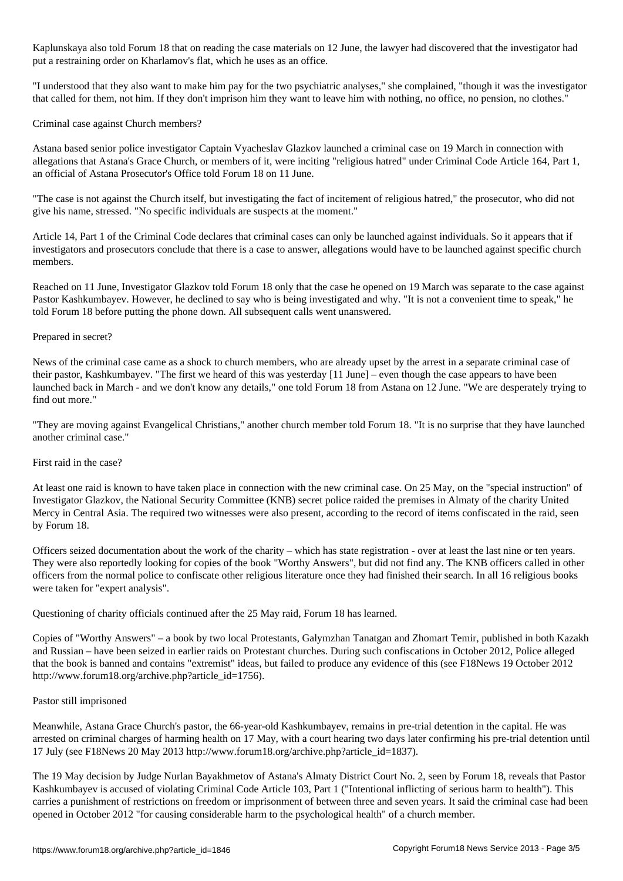Kaplunskaya also told Forum 18 that on reading the case materials on 12 June, the lawyer had discovered that the investigator had put a restraining order on Kharlamov's flat, which he uses as an office.

"I understood that they also want to make him pay for the two psychiatric analyses," she complained, "though it was the investigator that called for them, not him. If they don't imprison him they want to leave him with nothing, no office, no pension, no clothes."

Criminal case against Church members?

Astana based senior police investigator Captain Vyacheslav Glazkov launched a criminal case on 19 March in connection with allegations that Astana's Grace Church, or members of it, were inciting "religious hatred" under Criminal Code Article 164, Part 1, an official of Astana Prosecutor's Office told Forum 18 on 11 June.

"The case is not against the Church itself, but investigating the fact of incitement of religious hatred," the prosecutor, who did not give his name, stressed. "No specific individuals are suspects at the moment."

Article 14, Part 1 of the Criminal Code declares that criminal cases can only be launched against individuals. So it appears that if investigators and prosecutors conclude that there is a case to answer, allegations would have to be launched against specific church members.

Reached on 11 June, Investigator Glazkov told Forum 18 only that the case he opened on 19 March was separate to the case against Pastor Kashkumbayev. However, he declined to say who is being investigated and why. "It is not a convenient time to speak," he told Forum 18 before putting the phone down. All subsequent calls went unanswered.

### Prepared in secret?

News of the criminal case came as a shock to church members, who are already upset by the arrest in a separate criminal case of their pastor, Kashkumbayev. "The first we heard of this was yesterday [11 June] – even though the case appears to have been launched back in March - and we don't know any details," one told Forum 18 from Astana on 12 June. "We are desperately trying to find out more."

"They are moving against Evangelical Christians," another church member told Forum 18. "It is no surprise that they have launched another criminal case."

#### First raid in the case?

At least one raid is known to have taken place in connection with the new criminal case. On 25 May, on the "special instruction" of Investigator Glazkov, the National Security Committee (KNB) secret police raided the premises in Almaty of the charity United Mercy in Central Asia. The required two witnesses were also present, according to the record of items confiscated in the raid, seen by Forum 18.

Officers seized documentation about the work of the charity – which has state registration - over at least the last nine or ten years. They were also reportedly looking for copies of the book "Worthy Answers", but did not find any. The KNB officers called in other officers from the normal police to confiscate other religious literature once they had finished their search. In all 16 religious books were taken for "expert analysis".

Questioning of charity officials continued after the 25 May raid, Forum 18 has learned.

Copies of "Worthy Answers" – a book by two local Protestants, Galymzhan Tanatgan and Zhomart Temir, published in both Kazakh and Russian – have been seized in earlier raids on Protestant churches. During such confiscations in October 2012, Police alleged that the book is banned and contains "extremist" ideas, but failed to produce any evidence of this (see F18News 19 October 2012 http://www.forum18.org/archive.php?article\_id=1756).

#### Pastor still imprisoned

Meanwhile, Astana Grace Church's pastor, the 66-year-old Kashkumbayev, remains in pre-trial detention in the capital. He was arrested on criminal charges of harming health on 17 May, with a court hearing two days later confirming his pre-trial detention until 17 July (see F18News 20 May 2013 http://www.forum18.org/archive.php?article\_id=1837).

The 19 May decision by Judge Nurlan Bayakhmetov of Astana's Almaty District Court No. 2, seen by Forum 18, reveals that Pastor Kashkumbayev is accused of violating Criminal Code Article 103, Part 1 ("Intentional inflicting of serious harm to health"). This carries a punishment of restrictions on freedom or imprisonment of between three and seven years. It said the criminal case had been opened in October 2012 "for causing considerable harm to the psychological health" of a church member.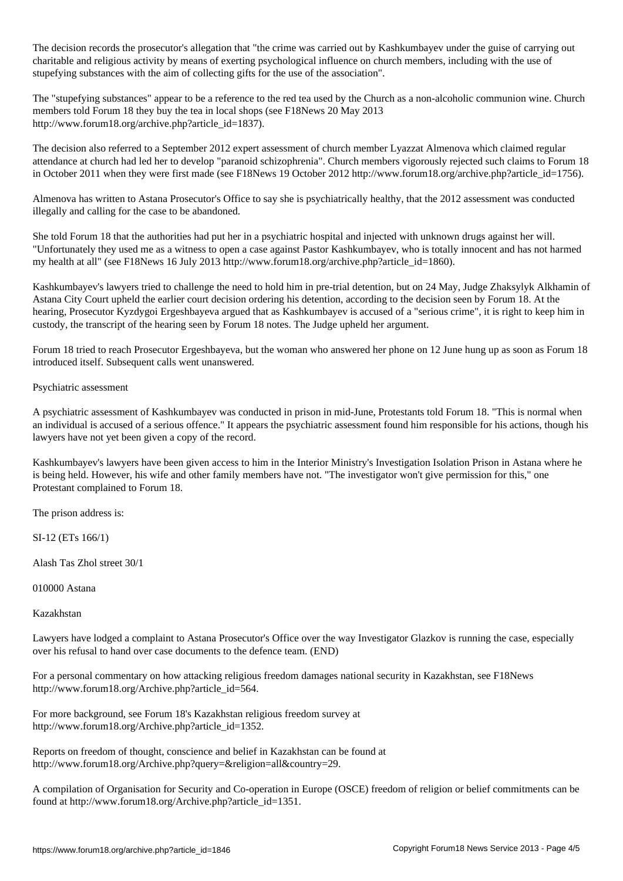The decision records the prosecutor's allegation that "the crime was carried out by Kashkumbayev under the guise of carrying out charitable and religious activity by means of exerting psychological influence on church members, including with the use of stupefying substances with the aim of collecting gifts for the use of the association".

The "stupefying substances" appear to be a reference to the red tea used by the Church as a non-alcoholic communion wine. Church members told Forum 18 they buy the tea in local shops (see F18News 20 May 2013 http://www.forum18.org/archive.php?article\_id=1837).

The decision also referred to a September 2012 expert assessment of church member Lyazzat Almenova which claimed regular attendance at church had led her to develop "paranoid schizophrenia". Church members vigorously rejected such claims to Forum 18 in October 2011 when they were first made (see F18News 19 October 2012 http://www.forum18.org/archive.php?article\_id=1756).

Almenova has written to Astana Prosecutor's Office to say she is psychiatrically healthy, that the 2012 assessment was conducted illegally and calling for the case to be abandoned.

She told Forum 18 that the authorities had put her in a psychiatric hospital and injected with unknown drugs against her will. "Unfortunately they used me as a witness to open a case against Pastor Kashkumbayev, who is totally innocent and has not harmed my health at all" (see F18News 16 July 2013 http://www.forum18.org/archive.php?article\_id=1860).

Kashkumbayev's lawyers tried to challenge the need to hold him in pre-trial detention, but on 24 May, Judge Zhaksylyk Alkhamin of Astana City Court upheld the earlier court decision ordering his detention, according to the decision seen by Forum 18. At the hearing, Prosecutor Kyzdygoi Ergeshbayeva argued that as Kashkumbayev is accused of a "serious crime", it is right to keep him in custody, the transcript of the hearing seen by Forum 18 notes. The Judge upheld her argument.

Forum 18 tried to reach Prosecutor Ergeshbayeva, but the woman who answered her phone on 12 June hung up as soon as Forum 18 introduced itself. Subsequent calls went unanswered.

## Psychiatric assessment

A psychiatric assessment of Kashkumbayev was conducted in prison in mid-June, Protestants told Forum 18. "This is normal when an individual is accused of a serious offence." It appears the psychiatric assessment found him responsible for his actions, though his lawyers have not yet been given a copy of the record.

Kashkumbayev's lawyers have been given access to him in the Interior Ministry's Investigation Isolation Prison in Astana where he is being held. However, his wife and other family members have not. "The investigator won't give permission for this," one Protestant complained to Forum 18.

The prison address is:

SI-12 (ETs 166/1)

Alash Tas Zhol street 30/1

010000 Astana

Kazakhstan

Lawyers have lodged a complaint to Astana Prosecutor's Office over the way Investigator Glazkov is running the case, especially over his refusal to hand over case documents to the defence team. (END)

For a personal commentary on how attacking religious freedom damages national security in Kazakhstan, see F18News http://www.forum18.org/Archive.php?article\_id=564.

For more background, see Forum 18's Kazakhstan religious freedom survey at http://www.forum18.org/Archive.php?article\_id=1352.

Reports on freedom of thought, conscience and belief in Kazakhstan can be found at http://www.forum18.org/Archive.php?query=&religion=all&country=29.

A compilation of Organisation for Security and Co-operation in Europe (OSCE) freedom of religion or belief commitments can be found at http://www.forum18.org/Archive.php?article\_id=1351.